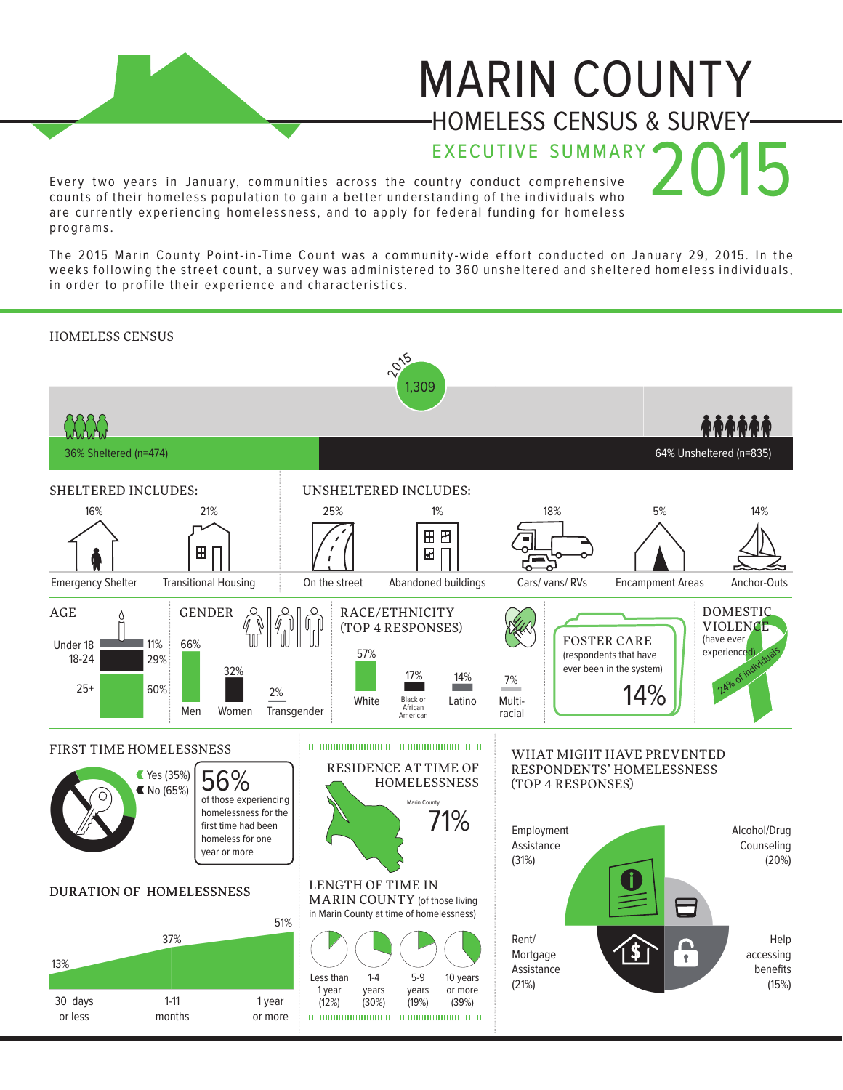## MARIN COUNTY HOMELESS CENSUS & SURVEY

EXECUTIVE SUMMARY

Every two years in January, communities across the country conduct comprehensive counts of their homeless population to gain a better understanding of the individuals who are currently experiencing homelessness, and to apply for federal funding for homeless p ro gr am s .

The 2015 Marin County Point-in-Time Count was a community-wide effort conducted on January 29, 2015. In the weeks following the street count, a survey was administered to 360 unsheltered and sheltered homeless individuals, in order to profile their experience and characteristics.